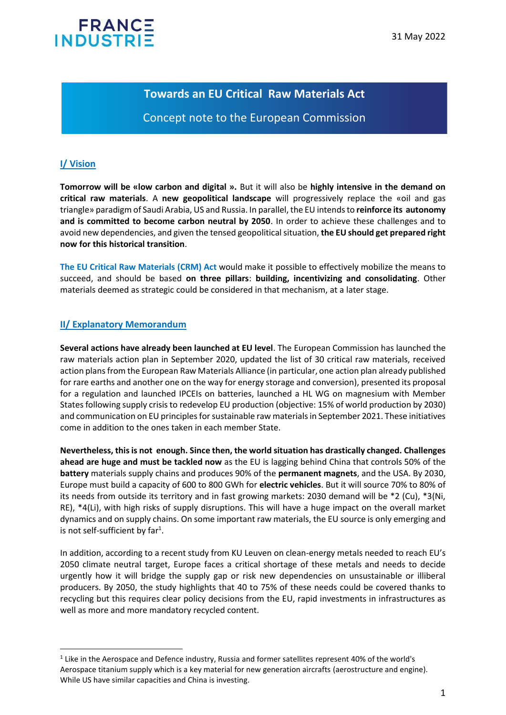# **FRANC INDUSTR**

## **Towards an EU Critical Raw Materials Act**

## Concept note to the European Commission

### **I/ Vision**

**Tomorrow will be «low carbon and digital ».** But it will also be **highly intensive in the demand on critical raw materials**. A **new geopolitical landscape** will progressively replace the «oil and gas triangle» paradigm of Saudi Arabia, US and Russia. In parallel, the EU intends to **reinforce its autonomy and is committed to become carbon neutral by 2050**. In order to achieve these challenges and to avoid new dependencies, and given the tensed geopolitical situation, **the EU should get prepared right now for this historical transition**.

**The EU Critical Raw Materials (CRM) Act** would make it possible to effectively mobilize the means to succeed, and should be based **on three pillars**: **building, incentivizing and consolidating**. Other materials deemed as strategic could be considered in that mechanism, at a later stage.

#### **II/ Explanatory Memorandum**

**Several actions have already been launched at EU level**. The European Commission has launched the raw materials action plan in September 2020, updated the list of 30 critical raw materials, received action plans from the European Raw Materials Alliance (in particular, one action plan already published for rare earths and another one on the way for energy storage and conversion), presented its proposal for a regulation and launched IPCEIs on batteries, launched a HL WG on magnesium with Member States following supply crisis to redevelop EU production (objective: 15% of world production by 2030) and communication on EU principles for sustainable raw materials in September 2021. These initiatives come in addition to the ones taken in each member State.

**Nevertheless, this is not enough. Since then, the world situation has drastically changed. Challenges ahead are huge and must be tackled now** as the EU is lagging behind China that controls 50% of the **battery** materials supply chains and produces 90% of the **permanent magnets**, and the USA. By 2030, Europe must build a capacity of 600 to 800 GWh for **electric vehicles**. But it will source 70% to 80% of its needs from outside its territory and in fast growing markets: 2030 demand will be \*2 (Cu), \*3(Ni, RE), \*4(Li), with high risks of supply disruptions. This will have a huge impact on the overall market dynamics and on supply chains. On some important raw materials, the EU source is only emerging and is not self-sufficient by far<sup>1</sup>.

In addition, according to a recent study from KU Leuven on clean-energy metals needed to reach EU's 2050 climate neutral target, Europe faces a critical shortage of these metals and needs to decide urgently how it will bridge the supply gap or risk new dependencies on unsustainable or illiberal producers. By 2050, the study highlights that 40 to 75% of these needs could be covered thanks to recycling but this requires clear policy decisions from the EU, rapid investments in infrastructures as well as more and more mandatory recycled content.

 $<sup>1</sup>$  Like in the Aerospace and Defence industry, Russia and former satellites represent 40% of the world's</sup> Aerospace titanium supply which is a key material for new generation aircrafts (aerostructure and engine). While US have similar capacities and China is investing.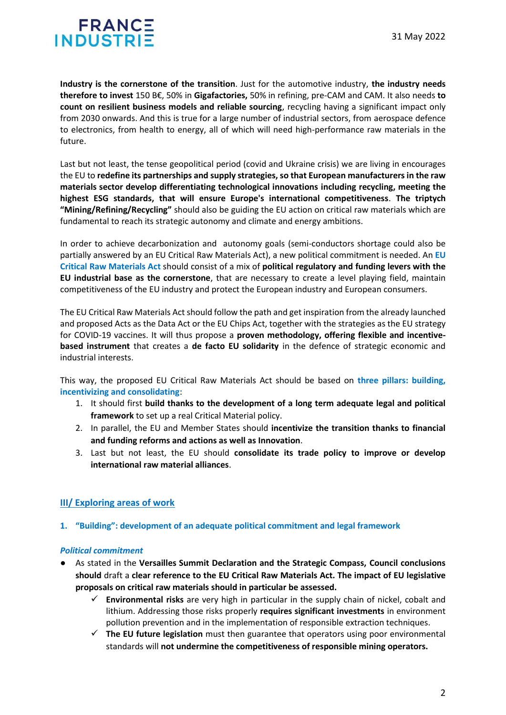# FRANCE **INDUSTR**

**Industry is the cornerstone of the transition**. Just for the automotive industry, **the industry needs therefore to invest** 150 B€, 50% in **Gigafactories,** 50% in refining, pre-CAM and CAM. It also needs **to count on resilient business models and reliable sourcing**, recycling having a significant impact only from 2030 onwards. And this is true for a large number of industrial sectors, from aerospace defence to electronics, from health to energy, all of which will need high-performance raw materials in the future.

Last but not least, the tense geopolitical period (covid and Ukraine crisis) we are living in encourages the EU to **redefine its partnerships and supply strategies, so that European manufacturers in the raw materials sector develop differentiating technological innovations including recycling, meeting the highest ESG standards, that will ensure Europe's international competitiveness**. **The triptych "Mining/Refining/Recycling"** should also be guiding the EU action on critical raw materials which are fundamental to reach its strategic autonomy and climate and energy ambitions.

In order to achieve decarbonization and autonomy goals (semi-conductors shortage could also be partially answered by an EU Critical Raw Materials Act), a new political commitment is needed. An **EU Critical Raw Materials Act** should consist of a mix of **political regulatory and funding levers with the EU industrial base as the cornerstone**, that are necessary to create a level playing field, maintain competitiveness of the EU industry and protect the European industry and European consumers.

The EU Critical Raw Materials Act should follow the path and get inspiration from the already launched and proposed Acts as the Data Act or the EU Chips Act, together with the strategies as the EU strategy for COVID-19 vaccines. It will thus propose a **proven methodology, offering flexible and incentivebased instrument** that creates a **de facto EU solidarity** in the defence of strategic economic and industrial interests.

This way, the proposed EU Critical Raw Materials Act should be based on **three pillars: building, incentivizing and consolidating**:

- 1. It should first **build thanks to the development of a long term adequate legal and political framework** to set up a real Critical Material policy.
- 2. In parallel, the EU and Member States should **incentivize the transition thanks to financial and funding reforms and actions as well as Innovation**.
- 3. Last but not least, the EU should **consolidate its trade policy to improve or develop international raw material alliances**.

### **III/ Exploring areas of work**

**1. "Building": development of an adequate political commitment and legal framework** 

#### *Political commitment*

- As stated in the **Versailles Summit Declaration and the Strategic Compass, Council conclusions should** draft a **clear reference to the EU Critical Raw Materials Act. The impact of EU legislative proposals on critical raw materials should in particular be assessed.** 
	- **Environmental risks** are very high in particular in the supply chain of nickel, cobalt and lithium. Addressing those risks properly **requires significant investments** in environment pollution prevention and in the implementation of responsible extraction techniques.
	- ✓ **The EU future legislation** must then guarantee that operators using poor environmental standards will **not undermine the competitiveness of responsible mining operators.**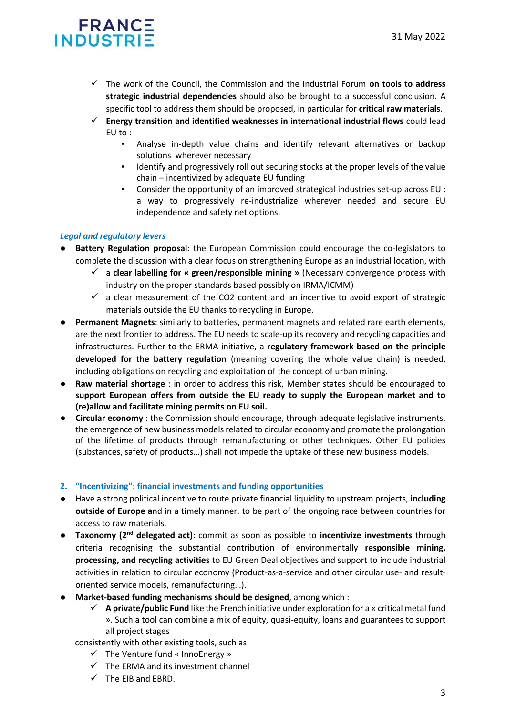# FRANCE **INDUSTR**

- ✓ The work of the Council, the Commission and the Industrial Forum **on tools to address strategic industrial dependencies** should also be brought to a successful conclusion. A specific tool to address them should be proposed, in particular for **critical raw materials**.
- ✓ **Energy transition and identified weaknesses in international industrial flows** could lead EU to :
	- Analyse in-depth value chains and identify relevant alternatives or backup solutions wherever necessary
	- Identify and progressively roll out securing stocks at the proper levels of the value chain – incentivized by adequate EU funding
	- Consider the opportunity of an improved strategical industries set-up across EU : a way to progressively re-industrialize wherever needed and secure EU independence and safety net options.

### *Legal and regulatory levers*

- **Battery Regulation proposal**: the European Commission could encourage the co-legislators to complete the discussion with a clear focus on strengthening Europe as an industrial location, with
	- ✓ a **clear labelling for « green/responsible mining »** (Necessary convergence process with industry on the proper standards based possibly on IRMA/ICMM)
	- $\checkmark$  a clear measurement of the CO2 content and an incentive to avoid export of strategic materials outside the EU thanks to recycling in Europe.
- Permanent Magnets: similarly to batteries, permanent magnets and related rare earth elements, are the next frontier to address. The EU needs to scale-up its recovery and recycling capacities and infrastructures. Further to the ERMA initiative, a **regulatory framework based on the principle developed for the battery regulation** (meaning covering the whole value chain) is needed, including obligations on recycling and exploitation of the concept of urban mining.
- **Raw material shortage** : in order to address this risk, Member states should be encouraged to **support European offers from outside the EU ready to supply the European market and to (re)allow and facilitate mining permits on EU soil.**
- **Circular economy** : the Commission should encourage, through adequate legislative instruments, the emergence of new business models related to circular economy and promote the prolongation of the lifetime of products through remanufacturing or other techniques. Other EU policies (substances, safety of products…) shall not impede the uptake of these new business models.

#### **2. "Incentivizing": financial investments and funding opportunities**

- Have a strong political incentive to route private financial liquidity to upstream projects, **including outside of Europe a**nd in a timely manner, to be part of the ongoing race between countries for access to raw materials.
- **Taxonomy (2nd delegated act)**: commit as soon as possible to **incentivize investments** through criteria recognising the substantial contribution of environmentally **responsible mining, processing, and recycling activities** to EU Green Deal objectives and support to include industrial activities in relation to circular economy (Product-as-a-service and other circular use- and resultoriented service models, remanufacturing…).
- **Market-based funding mechanisms should be designed**, among which :
	- ✓ **A private/public Fund** like the French initiative under exploration for a « critical metal fund ». Such a tool can combine a mix of equity, quasi-equity, loans and guarantees to support all project stages
	- consistently with other existing tools, such as
		- $\checkmark$  The Venture fund « InnoEnergy »
		- $\checkmark$  The ERMA and its investment channel
		- $\checkmark$  The EIB and EBRD.